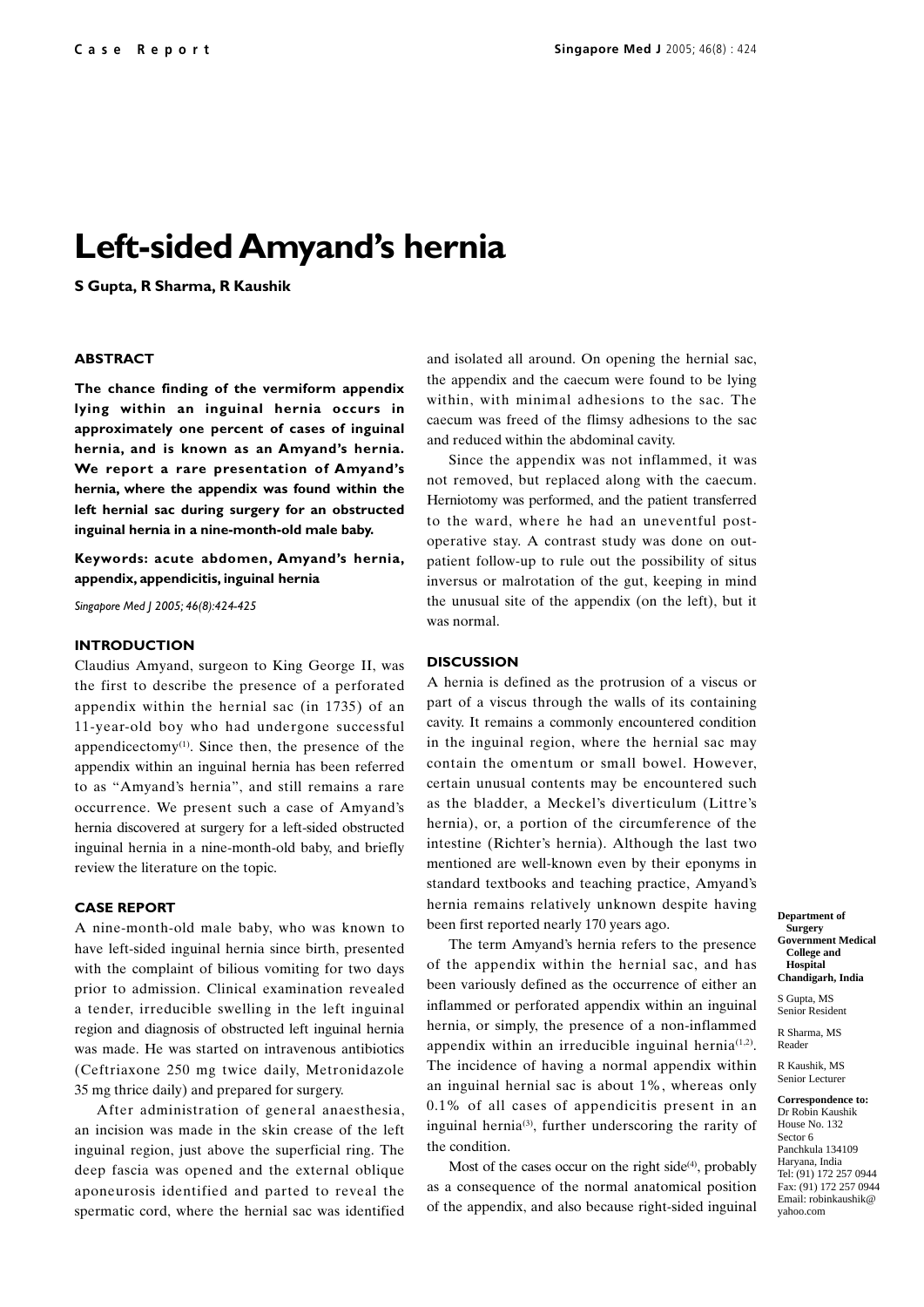# **Left-sided Amyand's hernia**

**S Gupta, R Sharma, R Kaushik**

#### **ABSTRACT**

**The chance finding of the vermiform appendix lying within an inguinal hernia occurs in approximately one percent of cases of inguinal hernia, and is known as an Amyand's hernia. We report a rare presentation of Amyand's hernia, where the appendix was found within the left hernial sac during surgery for an obstructed inguinal hernia in a nine-month-old male baby.**

**Keywords: acute abdomen, Amyand's hernia, appendix, appendicitis, inguinal hernia**

*Singapore Med J 2005; 46(8):424-425*

#### **INTRODUCTION**

Claudius Amyand, surgeon to King George II, was the first to describe the presence of a perforated appendix within the hernial sac (in 1735) of an 11-year-old boy who had undergone successful appendicectomy $(1)$ . Since then, the presence of the appendix within an inguinal hernia has been referred to as "Amyand's hernia", and still remains a rare occurrence. We present such a case of Amyand's hernia discovered at surgery for a left-sided obstructed inguinal hernia in a nine-month-old baby, and briefly review the literature on the topic.

## **CASE REPORT**

A nine-month-old male baby, who was known to have left-sided inguinal hernia since birth, presented with the complaint of bilious vomiting for two days prior to admission. Clinical examination revealed a tender, irreducible swelling in the left inguinal region and diagnosis of obstructed left inguinal hernia was made. He was started on intravenous antibiotics (Ceftriaxone 250 mg twice daily, Metronidazole 35 mg thrice daily) and prepared for surgery.

After administration of general anaesthesia, an incision was made in the skin crease of the left inguinal region, just above the superficial ring. The deep fascia was opened and the external oblique aponeurosis identified and parted to reveal the spermatic cord, where the hernial sac was identified

and isolated all around. On opening the hernial sac, the appendix and the caecum were found to be lying within, with minimal adhesions to the sac. The caecum was freed of the flimsy adhesions to the sac and reduced within the abdominal cavity.

Since the appendix was not inflammed, it was not removed, but replaced along with the caecum. Herniotomy was performed, and the patient transferred to the ward, where he had an uneventful postoperative stay. A contrast study was done on outpatient follow-up to rule out the possibility of situs inversus or malrotation of the gut, keeping in mind the unusual site of the appendix (on the left), but it was normal.

## **DISCUSSION**

A hernia is defined as the protrusion of a viscus or part of a viscus through the walls of its containing cavity. It remains a commonly encountered condition in the inguinal region, where the hernial sac may contain the omentum or small bowel. However, certain unusual contents may be encountered such as the bladder, a Meckel's diverticulum (Littre's hernia), or, a portion of the circumference of the intestine (Richter's hernia). Although the last two mentioned are well-known even by their eponyms in standard textbooks and teaching practice, Amyand's hernia remains relatively unknown despite having been first reported nearly 170 years ago.

The term Amyand's hernia refers to the presence of the appendix within the hernial sac, and has been variously defined as the occurrence of either an inflammed or perforated appendix within an inguinal hernia, or simply, the presence of a non-inflammed appendix within an irreducible inguinal hernia<sup> $(1,2)$ </sup>. The incidence of having a normal appendix within an inguinal hernial sac is about 1%, whereas only 0.1% of all cases of appendicitis present in an inguinal hernia<sup>(3)</sup>, further underscoring the rarity of the condition.

Most of the cases occur on the right side $(4)$ , probably as a consequence of the normal anatomical position of the appendix, and also because right-sided inguinal **Department of Surgery Government Medical College and**

**Hospital Chandigarh, India**

S Gupta, MS Senior Resident

R Sharma, MS Reader

R Kaushik, MS Senior Lecturer

**Correspondence to:** Dr Robin Kaushik House No. 132 Sector 6 Panchkula 134109 Haryana, India Tel: (91) 172 257 0944 Fax: (91) 172 257 0944 Email: robinkaushik@ yahoo.com